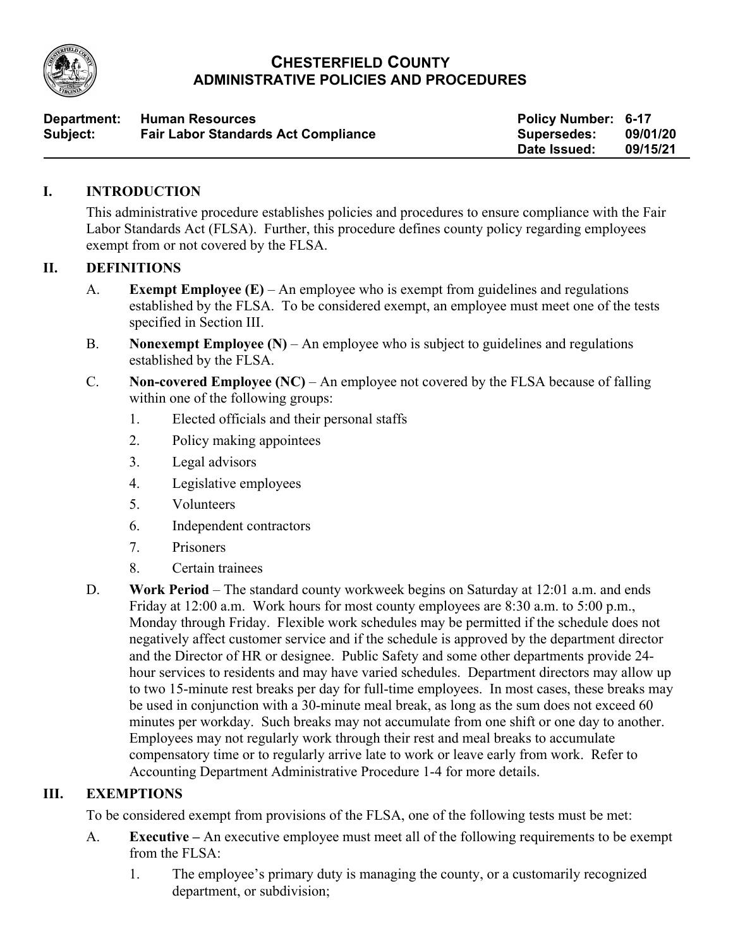

# **CHESTERFIELD COUNTY ADMINISTRATIVE POLICIES AND PROCEDURES**

| Department: | <b>Human Resources</b>                     | <b>Policy Number: 6-17</b> |          |
|-------------|--------------------------------------------|----------------------------|----------|
| Subject:    | <b>Fair Labor Standards Act Compliance</b> | <b>Supersedes:</b>         | 09/01/20 |
|             |                                            | Date Issued:               | 09/15/21 |

## **I. INTRODUCTION**

This administrative procedure establishes policies and procedures to ensure compliance with the Fair Labor Standards Act (FLSA). Further, this procedure defines county policy regarding employees exempt from or not covered by the FLSA.

## **II. DEFINITIONS**

- A. **Exempt Employee (E)** An employee who is exempt from guidelines and regulations established by the FLSA. To be considered exempt, an employee must meet one of the tests specified in Section III.
- B. **Nonexempt Employee (N)** An employee who is subject to guidelines and regulations established by the FLSA.
- C. **Non-covered Employee (NC)** An employee not covered by the FLSA because of falling within one of the following groups:
	- 1. Elected officials and their personal staffs
	- 2. Policy making appointees
	- 3. Legal advisors
	- 4. Legislative employees
	- 5. Volunteers
	- 6. Independent contractors
	- 7. Prisoners
	- 8. Certain trainees
- D. **Work Period** The standard county workweek begins on Saturday at 12:01 a.m. and ends Friday at 12:00 a.m. Work hours for most county employees are 8:30 a.m. to 5:00 p.m., Monday through Friday. Flexible work schedules may be permitted if the schedule does not negatively affect customer service and if the schedule is approved by the department director and the Director of HR or designee. Public Safety and some other departments provide 24 hour services to residents and may have varied schedules. Department directors may allow up to two 15-minute rest breaks per day for full-time employees. In most cases, these breaks may be used in conjunction with a 30-minute meal break, as long as the sum does not exceed 60 minutes per workday. Such breaks may not accumulate from one shift or one day to another. Employees may not regularly work through their rest and meal breaks to accumulate compensatory time or to regularly arrive late to work or leave early from work. Refer to Accounting Department Administrative Procedure 1-4 for more details.

#### **III. EXEMPTIONS**

To be considered exempt from provisions of the FLSA, one of the following tests must be met:

- A. **Executive –** An executive employee must meet all of the following requirements to be exempt from the FLSA:
	- 1. The employee's primary duty is managing the county, or a customarily recognized department, or subdivision;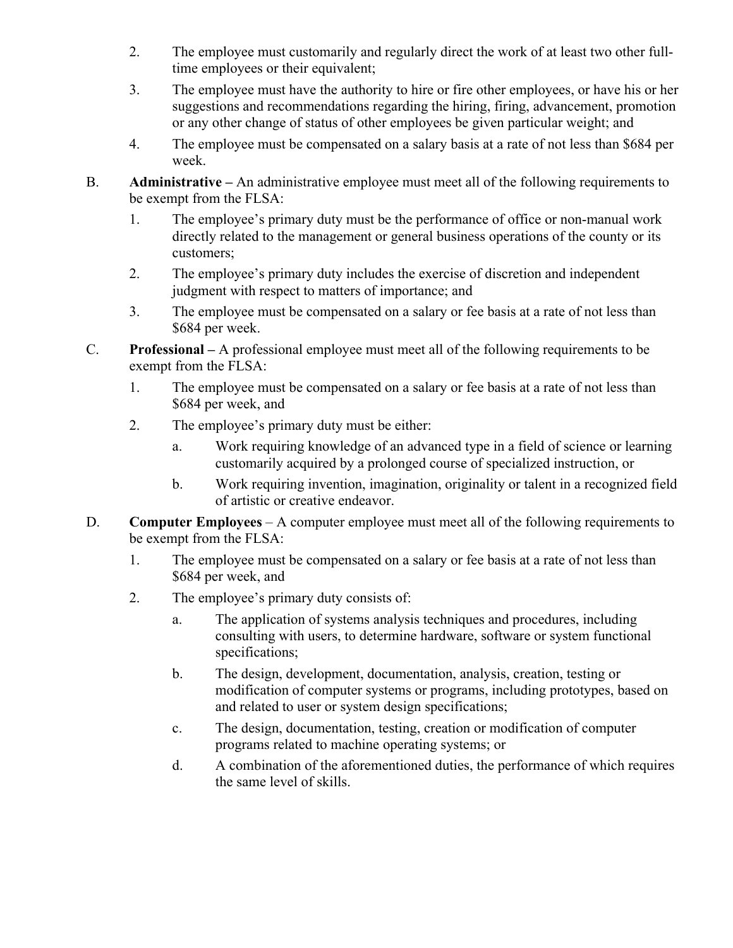- 2. The employee must customarily and regularly direct the work of at least two other fulltime employees or their equivalent;
- 3. The employee must have the authority to hire or fire other employees, or have his or her suggestions and recommendations regarding the hiring, firing, advancement, promotion or any other change of status of other employees be given particular weight; and
- 4. The employee must be compensated on a salary basis at a rate of not less than \$684 per week.
- B. **Administrative –** An administrative employee must meet all of the following requirements to be exempt from the FLSA:
	- 1. The employee's primary duty must be the performance of office or non-manual work directly related to the management or general business operations of the county or its customers;
	- 2. The employee's primary duty includes the exercise of discretion and independent judgment with respect to matters of importance; and
	- 3. The employee must be compensated on a salary or fee basis at a rate of not less than \$684 per week.
- C. **Professional –** A professional employee must meet all of the following requirements to be exempt from the FLSA:
	- 1. The employee must be compensated on a salary or fee basis at a rate of not less than \$684 per week, and
	- 2. The employee's primary duty must be either:
		- a. Work requiring knowledge of an advanced type in a field of science or learning customarily acquired by a prolonged course of specialized instruction, or
		- b. Work requiring invention, imagination, originality or talent in a recognized field of artistic or creative endeavor.
- D. **Computer Employees** A computer employee must meet all of the following requirements to be exempt from the FLSA:
	- 1. The employee must be compensated on a salary or fee basis at a rate of not less than \$684 per week, and
	- 2. The employee's primary duty consists of:
		- a. The application of systems analysis techniques and procedures, including consulting with users, to determine hardware, software or system functional specifications;
		- b. The design, development, documentation, analysis, creation, testing or modification of computer systems or programs, including prototypes, based on and related to user or system design specifications;
		- c. The design, documentation, testing, creation or modification of computer programs related to machine operating systems; or
		- d. A combination of the aforementioned duties, the performance of which requires the same level of skills.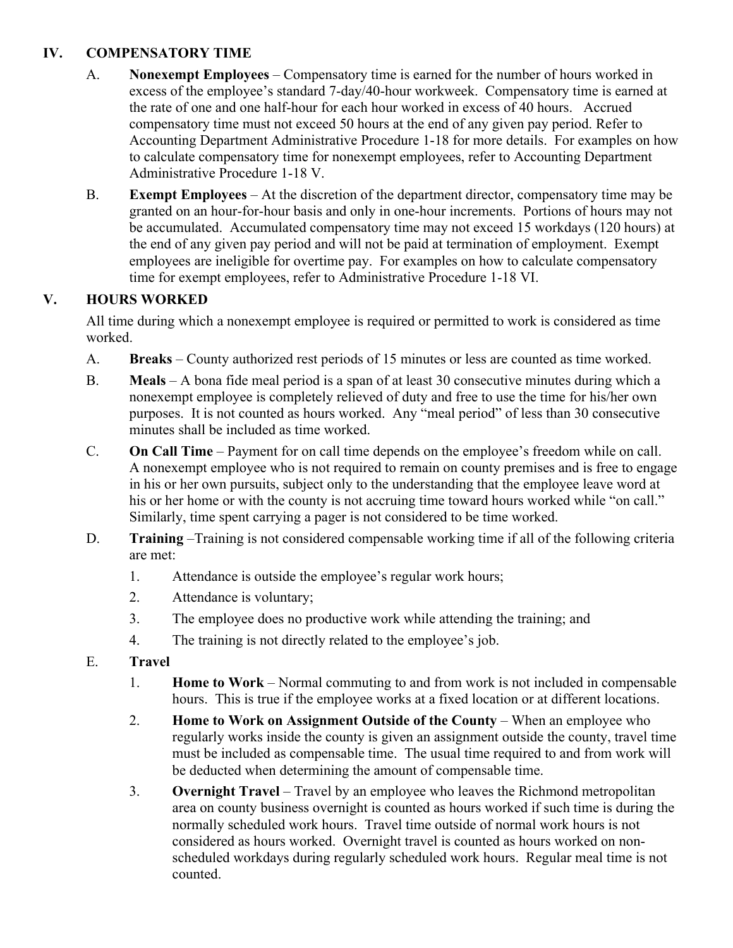# **IV. COMPENSATORY TIME**

- A. **Nonexempt Employees** Compensatory time is earned for the number of hours worked in excess of the employee's standard 7-day/40-hour workweek. Compensatory time is earned at the rate of one and one half-hour for each hour worked in excess of 40 hours. Accrued compensatory time must not exceed 50 hours at the end of any given pay period. Refer to Accounting Department Administrative Procedure 1-18 for more details. For examples on how to calculate compensatory time for nonexempt employees, refer to Accounting Department Administrative Procedure 1-18 V.
- B. **Exempt Employees**  At the discretion of the department director, compensatory time may be granted on an hour-for-hour basis and only in one-hour increments. Portions of hours may not be accumulated. Accumulated compensatory time may not exceed 15 workdays (120 hours) at the end of any given pay period and will not be paid at termination of employment. Exempt employees are ineligible for overtime pay. For examples on how to calculate compensatory time for exempt employees, refer to Administrative Procedure 1-18 VI.

# **V. HOURS WORKED**

All time during which a nonexempt employee is required or permitted to work is considered as time worked.

- A. **Breaks** County authorized rest periods of 15 minutes or less are counted as time worked.
- B. **Meals** A bona fide meal period is a span of at least 30 consecutive minutes during which a nonexempt employee is completely relieved of duty and free to use the time for his/her own purposes. It is not counted as hours worked. Any "meal period" of less than 30 consecutive minutes shall be included as time worked.
- C. **On Call Time** Payment for on call time depends on the employee's freedom while on call. A nonexempt employee who is not required to remain on county premises and is free to engage in his or her own pursuits, subject only to the understanding that the employee leave word at his or her home or with the county is not accruing time toward hours worked while "on call." Similarly, time spent carrying a pager is not considered to be time worked.
- D. **Training** –Training is not considered compensable working time if all of the following criteria are met:
	- 1. Attendance is outside the employee's regular work hours;
	- 2. Attendance is voluntary;
	- 3. The employee does no productive work while attending the training; and
	- 4. The training is not directly related to the employee's job.
- E. **Travel**
	- 1. **Home to Work** Normal commuting to and from work is not included in compensable hours. This is true if the employee works at a fixed location or at different locations.
	- 2. **Home to Work on Assignment Outside of the County When an employee who** regularly works inside the county is given an assignment outside the county, travel time must be included as compensable time. The usual time required to and from work will be deducted when determining the amount of compensable time.
	- 3. **Overnight Travel** Travel by an employee who leaves the Richmond metropolitan area on county business overnight is counted as hours worked if such time is during the normally scheduled work hours. Travel time outside of normal work hours is not considered as hours worked. Overnight travel is counted as hours worked on nonscheduled workdays during regularly scheduled work hours. Regular meal time is not counted.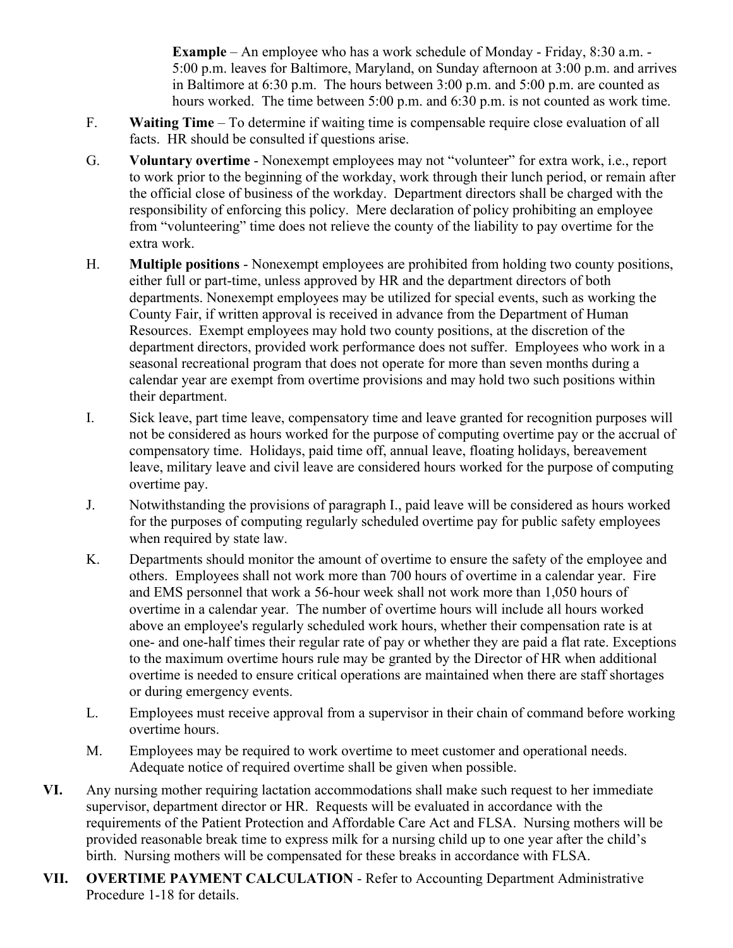**Example** – An employee who has a work schedule of Monday - Friday, 8:30 a.m. -5:00 p.m. leaves for Baltimore, Maryland, on Sunday afternoon at 3:00 p.m. and arrives in Baltimore at 6:30 p.m. The hours between 3:00 p.m. and 5:00 p.m. are counted as hours worked. The time between 5:00 p.m. and 6:30 p.m. is not counted as work time.

- F. **Waiting Time** To determine if waiting time is compensable require close evaluation of all facts. HR should be consulted if questions arise.
- G. **Voluntary overtime**  Nonexempt employees may not "volunteer" for extra work, i.e., report to work prior to the beginning of the workday, work through their lunch period, or remain after the official close of business of the workday. Department directors shall be charged with the responsibility of enforcing this policy. Mere declaration of policy prohibiting an employee from "volunteering" time does not relieve the county of the liability to pay overtime for the extra work.
- H. **Multiple positions**  Nonexempt employees are prohibited from holding two county positions, either full or part-time, unless approved by HR and the department directors of both departments. Nonexempt employees may be utilized for special events, such as working the County Fair, if written approval is received in advance from the Department of Human Resources. Exempt employees may hold two county positions, at the discretion of the department directors, provided work performance does not suffer. Employees who work in a seasonal recreational program that does not operate for more than seven months during a calendar year are exempt from overtime provisions and may hold two such positions within their department.
- I. Sick leave, part time leave, compensatory time and leave granted for recognition purposes will not be considered as hours worked for the purpose of computing overtime pay or the accrual of compensatory time. Holidays, paid time off, annual leave, floating holidays, bereavement leave, military leave and civil leave are considered hours worked for the purpose of computing overtime pay.
- J. Notwithstanding the provisions of paragraph I., paid leave will be considered as hours worked for the purposes of computing regularly scheduled overtime pay for public safety employees when required by state law.
- K. Departments should monitor the amount of overtime to ensure the safety of the employee and others. Employees shall not work more than 700 hours of overtime in a calendar year. Fire and EMS personnel that work a 56-hour week shall not work more than 1,050 hours of overtime in a calendar year. The number of overtime hours will include all hours worked above an employee's regularly scheduled work hours, whether their compensation rate is at one- and one-half times their regular rate of pay or whether they are paid a flat rate. Exceptions to the maximum overtime hours rule may be granted by the Director of HR when additional overtime is needed to ensure critical operations are maintained when there are staff shortages or during emergency events.
- L. Employees must receive approval from a supervisor in their chain of command before working overtime hours.
- M. Employees may be required to work overtime to meet customer and operational needs. Adequate notice of required overtime shall be given when possible.
- **VI.** Any nursing mother requiring lactation accommodations shall make such request to her immediate supervisor, department director or HR. Requests will be evaluated in accordance with the requirements of the Patient Protection and Affordable Care Act and FLSA. Nursing mothers will be provided reasonable break time to express milk for a nursing child up to one year after the child's birth. Nursing mothers will be compensated for these breaks in accordance with FLSA.
- **VII. OVERTIME PAYMENT CALCULATION**  Refer to Accounting Department Administrative Procedure 1-18 for details.